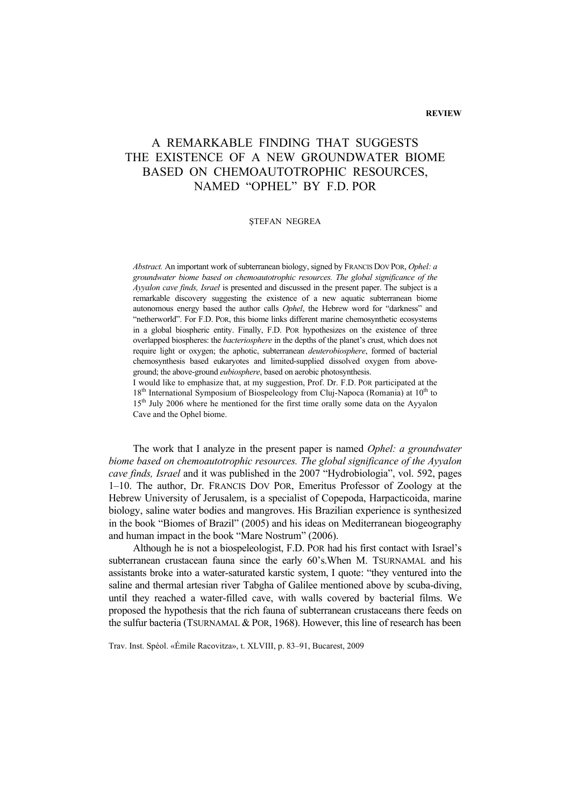## **REVIEW**

## A REMARKABLE FINDING THAT SUGGESTS THE EXISTENCE OF A NEW GROUNDWATER BIOME BASED ON CHEMOAUTOTROPHIC RESOURCES, NAMED "OPHEL" BY F.D. POR

## ŞTEFAN NEGREA

*Abstract.* An important work of subterranean biology, signed by FRANCIS DOV POR, *Ophel: a groundwater biome based on chemoautotrophic resources. The global significance of the Ayyalon cave finds, Israel* is presented and discussed in the present paper. The subject is a remarkable discovery suggesting the existence of a new aquatic subterranean biome autonomous energy based the author calls *Ophel*, the Hebrew word for "darkness" and "netherworld". For F.D. POR, this biome links different marine chemosynthetic ecosystems in a global biospheric entity. Finally, F.D. POR hypothesizes on the existence of three overlapped biospheres: the *bacteriosphere* in the depths of the planet's crust, which does not require light or oxygen; the aphotic, subterranean *deuterobiosphere*, formed of bacterial chemosynthesis based eukaryotes and limited-supplied dissolved oxygen from aboveground; the above-ground *eubiosphere*, based on aerobic photosynthesis.

I would like to emphasize that, at my suggestion, Prof. Dr. F.D. POR participated at the 18<sup>th</sup> International Symposium of Biospeleology from Cluj-Napoca (Romania) at 10<sup>th</sup> to 15<sup>th</sup> July 2006 where he mentioned for the first time orally some data on the Ayyalon Cave and the Ophel biome.

The work that I analyze in the present paper is named *Ophel: a groundwater biome based on chemoautotrophic resources. The global significance of the Ayyalon cave finds, Israel* and it was published in the 2007 "Hydrobiologia", vol. 592, pages 1–10. The author, Dr. FRANCIS DOV POR, Emeritus Professor of Zoology at the Hebrew University of Jerusalem, is a specialist of Copepoda, Harpacticoida, marine biology, saline water bodies and mangroves. His Brazilian experience is synthesized in the book "Biomes of Brazil" (2005) and his ideas on Mediterranean biogeography and human impact in the book "Mare Nostrum" (2006).

Although he is not a biospeleologist, F.D. POR had his first contact with Israel's subterranean crustacean fauna since the early 60's.When M. TSURNAMAL and his assistants broke into a water-saturated karstic system, I quote: "they ventured into the saline and thermal artesian river Tabgha of Galilee mentioned above by scuba-diving, until they reached a water-filled cave, with walls covered by bacterial films. We proposed the hypothesis that the rich fauna of subterranean crustaceans there feeds on the sulfur bacteria (TSURNAMAL & POR, 1968). However, this line of research has been

Trav. Inst. Spéol. «Émile Racovitza», t. XLVIII, p. 83–91, Bucarest, 2009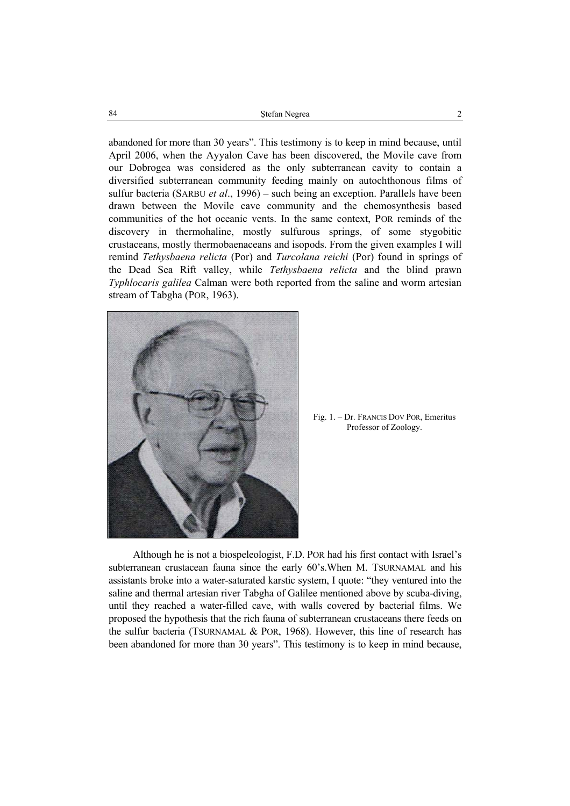Ştefan Negrea 2 84

abandoned for more than 30 years". This testimony is to keep in mind because, until April 2006, when the Ayyalon Cave has been discovered, the Movile cave from our Dobrogea was considered as the only subterranean cavity to contain a diversified subterranean community feeding mainly on autochthonous films of sulfur bacteria (SARBU *et al*., 1996) – such being an exception. Parallels have been drawn between the Movile cave community and the chemosynthesis based communities of the hot oceanic vents. In the same context, POR reminds of the discovery in thermohaline, mostly sulfurous springs, of some stygobitic crustaceans, mostly thermobaenaceans and isopods. From the given examples I will remind *Tethysbaena relicta* (Por) and *Turcolana reichi* (Por) found in springs of the Dead Sea Rift valley, while *Tethysbaena relicta* and the blind prawn *Typhlocaris galilea* Calman were both reported from the saline and worm artesian stream of Tabgha (POR, 1963).



Fig. 1. – Dr. FRANCIS DOV POR, Emeritus Professor of Zoology.

Although he is not a biospeleologist, F.D. POR had his first contact with Israel's subterranean crustacean fauna since the early 60's.When M. TSURNAMAL and his assistants broke into a water-saturated karstic system, I quote: "they ventured into the saline and thermal artesian river Tabgha of Galilee mentioned above by scuba-diving, until they reached a water-filled cave, with walls covered by bacterial films. We proposed the hypothesis that the rich fauna of subterranean crustaceans there feeds on the sulfur bacteria (TSURNAMAL & POR, 1968). However, this line of research has been abandoned for more than 30 years". This testimony is to keep in mind because,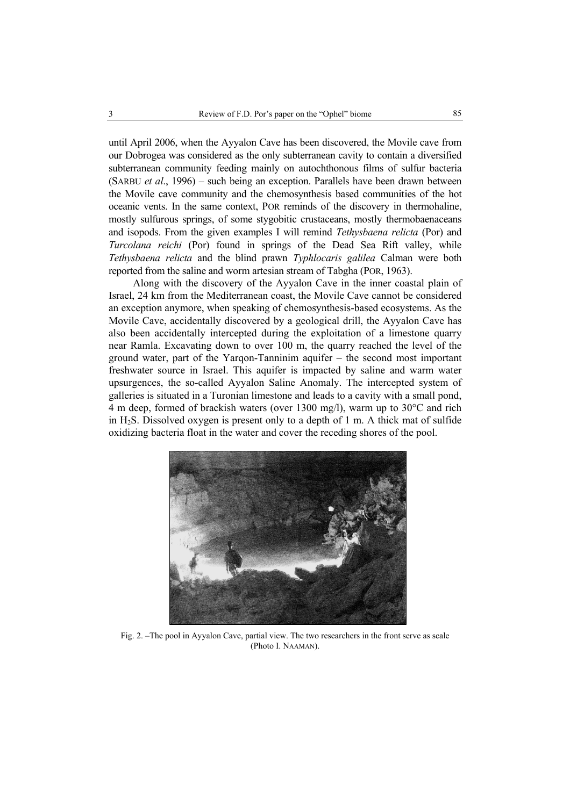until April 2006, when the Ayyalon Cave has been discovered, the Movile cave from our Dobrogea was considered as the only subterranean cavity to contain a diversified subterranean community feeding mainly on autochthonous films of sulfur bacteria (SARBU *et al*., 1996) – such being an exception. Parallels have been drawn between the Movile cave community and the chemosynthesis based communities of the hot oceanic vents. In the same context, POR reminds of the discovery in thermohaline, mostly sulfurous springs, of some stygobitic crustaceans, mostly thermobaenaceans and isopods. From the given examples I will remind *Tethysbaena relicta* (Por) and *Turcolana reichi* (Por) found in springs of the Dead Sea Rift valley, while *Tethysbaena relicta* and the blind prawn *Typhlocaris galilea* Calman were both reported from the saline and worm artesian stream of Tabgha (POR, 1963).

Along with the discovery of the Ayyalon Cave in the inner coastal plain of Israel, 24 km from the Mediterranean coast, the Movile Cave cannot be considered an exception anymore, when speaking of chemosynthesis-based ecosystems. As the Movile Cave, accidentally discovered by a geological drill, the Ayyalon Cave has also been accidentally intercepted during the exploitation of a limestone quarry near Ramla. Excavating down to over 100 m, the quarry reached the level of the ground water, part of the Yarqon-Tanninim aquifer – the second most important freshwater source in Israel. This aquifer is impacted by saline and warm water upsurgences, the so-called Ayyalon Saline Anomaly. The intercepted system of galleries is situated in a Turonian limestone and leads to a cavity with a small pond, 4 m deep, formed of brackish waters (over 1300 mg/l), warm up to  $30^{\circ}$ C and rich in H<sub>2</sub>S. Dissolved oxygen is present only to a depth of 1 m. A thick mat of sulfide oxidizing bacteria float in the water and cover the receding shores of the pool.



Fig. 2. –The pool in Ayyalon Cave, partial view. The two researchers in the front serve as scale (Photo I. NAAMAN).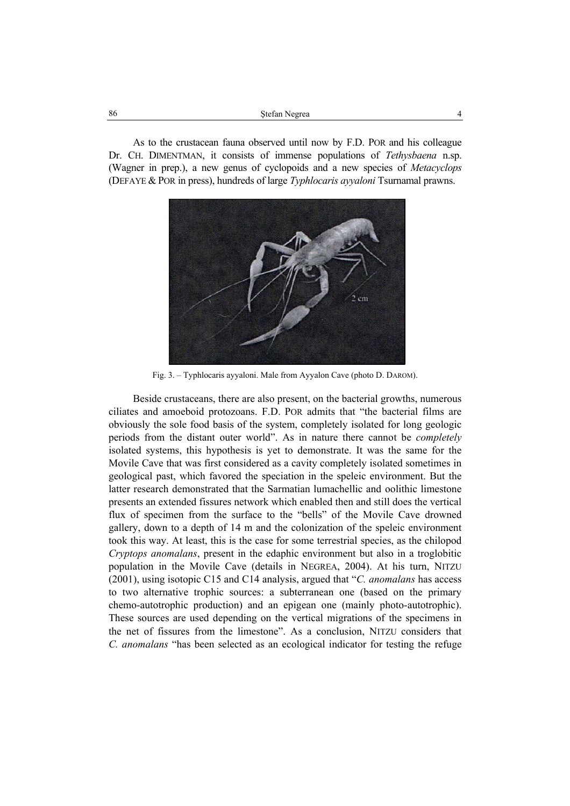| 86 | Stefan Negrea |  |
|----|---------------|--|
|    |               |  |

As to the crustacean fauna observed until now by F.D. POR and his colleague Dr. CH. DIMENTMAN, it consists of immense populations of *Tethysbaena* n.sp. (Wagner in prep.), a new genus of cyclopoids and a new species of *Metacyclops*  (DEFAYE & POR in press), hundreds of large *Typhlocaris ayyaloni* Tsurnamal prawns.



Fig. 3. – Typhlocaris ayyaloni. Male from Ayyalon Cave (photo D. DAROM).

Beside crustaceans, there are also present, on the bacterial growths, numerous ciliates and amoeboid protozoans. F.D. POR admits that "the bacterial films are obviously the sole food basis of the system, completely isolated for long geologic periods from the distant outer world". As in nature there cannot be *completely* isolated systems, this hypothesis is yet to demonstrate. It was the same for the Movile Cave that was first considered as a cavity completely isolated sometimes in geological past, which favored the speciation in the speleic environment. But the latter research demonstrated that the Sarmatian lumachellic and oolithic limestone presents an extended fissures network which enabled then and still does the vertical flux of specimen from the surface to the "bells" of the Movile Cave drowned gallery, down to a depth of 14 m and the colonization of the speleic environment took this way. At least, this is the case for some terrestrial species, as the chilopod *Cryptops anomalans*, present in the edaphic environment but also in a troglobitic population in the Movile Cave (details in NEGREA, 2004). At his turn, NITZU (2001), using isotopic C15 and C14 analysis, argued that "*C. anomalans* has access to two alternative trophic sources: a subterranean one (based on the primary chemo-autotrophic production) and an epigean one (mainly photo-autotrophic). These sources are used depending on the vertical migrations of the specimens in the net of fissures from the limestone". As a conclusion, NITZU considers that *C. anomalans* "has been selected as an ecological indicator for testing the refuge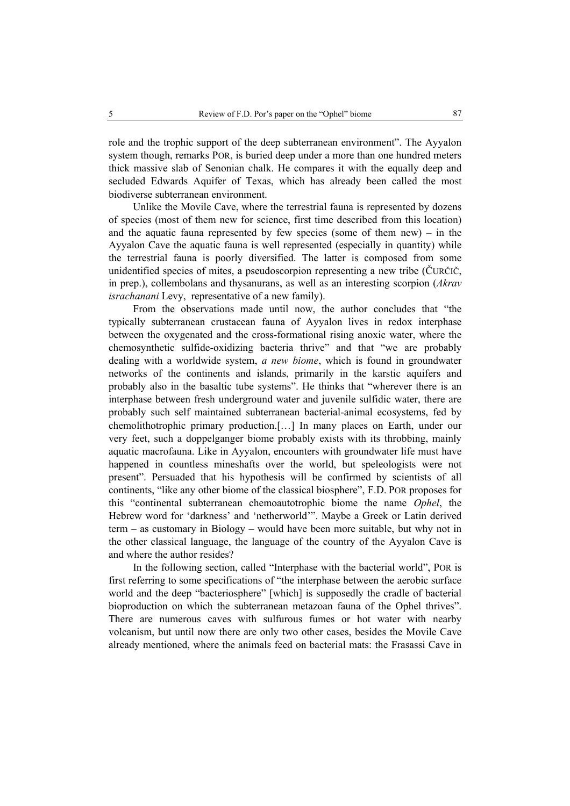role and the trophic support of the deep subterranean environment". The Ayyalon system though, remarks POR, is buried deep under a more than one hundred meters thick massive slab of Senonian chalk. He compares it with the equally deep and secluded Edwards Aquifer of Texas, which has already been called the most biodiverse subterranean environment.

Unlike the Movile Cave, where the terrestrial fauna is represented by dozens of species (most of them new for science, first time described from this location) and the aquatic fauna represented by few species (some of them new) – in the Ayyalon Cave the aquatic fauna is well represented (especially in quantity) while the terrestrial fauna is poorly diversified. The latter is composed from some unidentified species of mites, a pseudoscorpion representing a new tribe (ČURČIČ, in prep.), collembolans and thysanurans, as well as an interesting scorpion (*Akrav israchanani* Levy,representative of a new family).

From the observations made until now, the author concludes that "the typically subterranean crustacean fauna of Ayyalon lives in redox interphase between the oxygenated and the cross-formational rising anoxic water, where the chemosynthetic sulfide-oxidizing bacteria thrive" and that "we are probably dealing with a worldwide system, *a new biome*, which is found in groundwater networks of the continents and islands, primarily in the karstic aquifers and probably also in the basaltic tube systems". He thinks that "wherever there is an interphase between fresh underground water and juvenile sulfidic water, there are probably such self maintained subterranean bacterial-animal ecosystems, fed by chemolithotrophic primary production.[…] In many places on Earth, under our very feet, such a doppelganger biome probably exists with its throbbing, mainly aquatic macrofauna. Like in Ayyalon, encounters with groundwater life must have happened in countless mineshafts over the world, but speleologists were not present". Persuaded that his hypothesis will be confirmed by scientists of all continents, "like any other biome of the classical biosphere", F.D. POR proposes for this "continental subterranean chemoautotrophic biome the name *Ophel*, the Hebrew word for 'darkness' and 'netherworld'". Maybe a Greek or Latin derived term – as customary in Biology – would have been more suitable, but why not in the other classical language, the language of the country of the Ayyalon Cave is and where the author resides?

In the following section, called "Interphase with the bacterial world", POR is first referring to some specifications of "the interphase between the aerobic surface world and the deep "bacteriosphere" [which] is supposedly the cradle of bacterial bioproduction on which the subterranean metazoan fauna of the Ophel thrives". There are numerous caves with sulfurous fumes or hot water with nearby volcanism, but until now there are only two other cases, besides the Movile Cave already mentioned, where the animals feed on bacterial mats: the Frasassi Cave in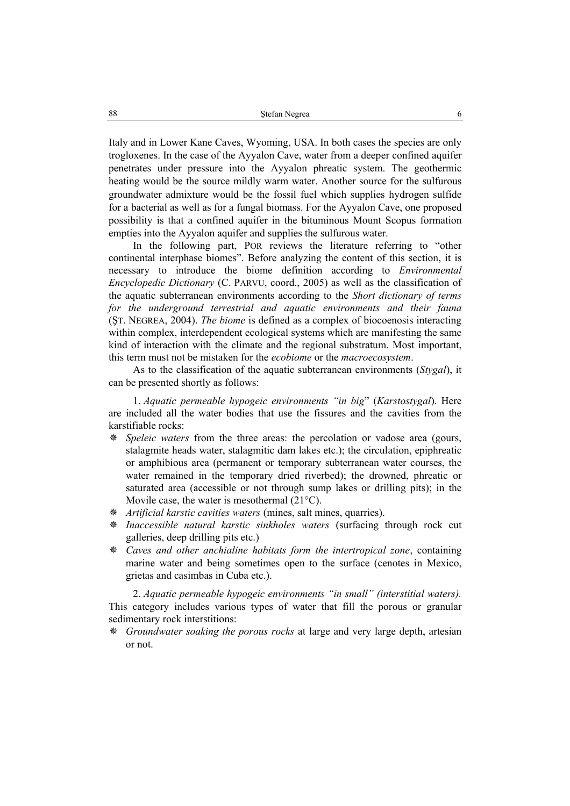Italy and in Lower Kane Caves, Wyoming, USA. In both cases the species are only trogloxenes. In the case of the Ayyalon Cave, water from a deeper confined aquifer penetrates under pressure into the Ayyalon phreatic system. The geothermic heating would be the source mildly warm water. Another source for the sulfurous groundwater admixture would be the fossil fuel which supplies hydrogen sulfide for a bacterial as well as for a fungal biomass. For the Ayyalon Cave, one proposed possibility is that a confined aquifer in the bituminous Mount Scopus formation empties into the Ayyalon aquifer and supplies the sulfurous water.

In the following part, POR reviews the literature referring to "other continental interphase biomes". Before analyzing the content of this section, it is necessary to introduce the biome definition according to *Environmental Encyclopedic Dictionary* (C. PARVU, coord., 2005) as well as the classification of the aquatic subterranean environments according to the *Short dictionary of terms for the underground terrestrial and aquatic environments and their fauna* (ŞT. NEGREA, 2004). *The biome* is defined as a complex of biocoenosis interacting within complex, interdependent ecological systems which are manifesting the same kind of interaction with the climate and the regional substratum. Most important, this term must not be mistaken for the *ecobiome* or the *macroecosystem*.

As to the classification of the aquatic subterranean environments (*Stygal*), it can be presented shortly as follows:

1. *Aquatic permeable hypogeic environments "in big*" (*Karstostygal*). Here are included all the water bodies that use the fissures and the cavities from the karstifiable rocks:

- *Speleic waters* from the three areas: the percolation or vadose area (gours, stalagmite heads water, stalagmitic dam lakes etc.); the circulation, epiphreatic or amphibious area (permanent or temporary subterranean water courses, the water remained in the temporary dried riverbed); the drowned, phreatic or saturated area (accessible or not through sump lakes or drilling pits); in the Movile case, the water is mesothermal (21°C).
- *Artificial karstic cavities waters* (mines, salt mines, quarries).
- *Inaccessible natural karstic sinkholes waters* (surfacing through rock cut galleries, deep drilling pits etc.)
- *Caves and other anchialine habitats form the intertropical zone*, containing marine water and being sometimes open to the surface (cenotes in Mexico, grietas and casimbas in Cuba etc.).

2. *Aquatic permeable hypogeic environments "in small" (interstitial waters).* This category includes various types of water that fill the porous or granular sedimentary rock interstitions:

 *Groundwater soaking the porous rocks* at large and very large depth, artesian or not.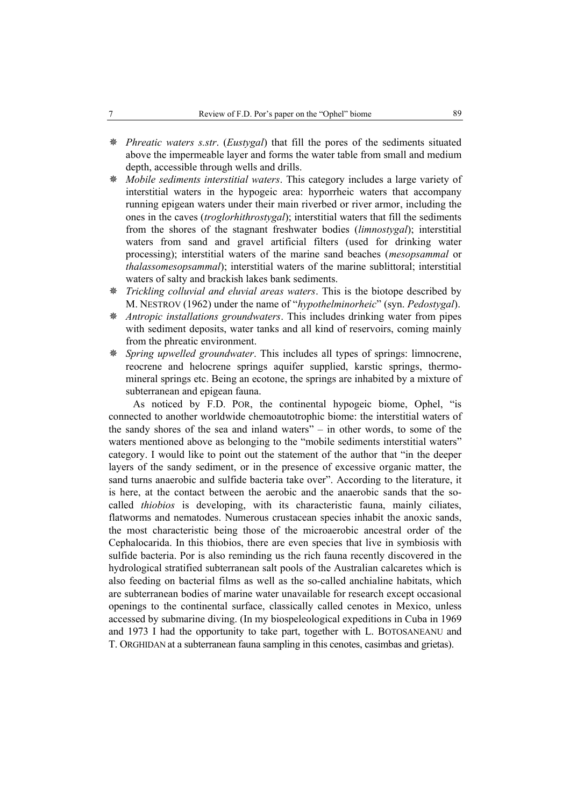- *Phreatic waters s.str*. (*Eustygal*) that fill the pores of the sediments situated above the impermeable layer and forms the water table from small and medium depth, accessible through wells and drills.
- *Mobile sediments interstitial waters*. This category includes a large variety of interstitial waters in the hypogeic area: hyporrheic waters that accompany running epigean waters under their main riverbed or river armor, including the ones in the caves (*troglorhithrostygal*); interstitial waters that fill the sediments from the shores of the stagnant freshwater bodies (*limnostygal*); interstitial waters from sand and gravel artificial filters (used for drinking water processing); interstitial waters of the marine sand beaches (*mesopsammal* or *thalassomesopsammal*); interstitial waters of the marine sublittoral; interstitial waters of salty and brackish lakes bank sediments.
- *Trickling colluvial and eluvial areas waters*. This is the biotope described by M. NESTROV (1962) under the name of "*hypothelminorheic*" (syn. *Pedostygal*).
- *Antropic installations groundwaters*. This includes drinking water from pipes with sediment deposits, water tanks and all kind of reservoirs, coming mainly from the phreatic environment.
- *Spring upwelled groundwater*. This includes all types of springs: limnocrene, reocrene and helocrene springs aquifer supplied, karstic springs, thermomineral springs etc. Being an ecotone, the springs are inhabited by a mixture of subterranean and epigean fauna.

As noticed by F.D. POR, the continental hypogeic biome, Ophel, "is connected to another worldwide chemoautotrophic biome: the interstitial waters of the sandy shores of the sea and inland waters" – in other words, to some of the waters mentioned above as belonging to the "mobile sediments interstitial waters" category. I would like to point out the statement of the author that "in the deeper layers of the sandy sediment, or in the presence of excessive organic matter, the sand turns anaerobic and sulfide bacteria take over". According to the literature, it is here, at the contact between the aerobic and the anaerobic sands that the socalled *thiobios* is developing, with its characteristic fauna, mainly ciliates, flatworms and nematodes. Numerous crustacean species inhabit the anoxic sands, the most characteristic being those of the microaerobic ancestral order of the Cephalocarida. In this thiobios, there are even species that live in symbiosis with sulfide bacteria. Por is also reminding us the rich fauna recently discovered in the hydrological stratified subterranean salt pools of the Australian calcaretes which is also feeding on bacterial films as well as the so-called anchialine habitats, which are subterranean bodies of marine water unavailable for research except occasional openings to the continental surface, classically called cenotes in Mexico, unless accessed by submarine diving. (In my biospeleological expeditions in Cuba in 1969 and 1973 I had the opportunity to take part, together with L. BOTOSANEANU and T. ORGHIDAN at a subterranean fauna sampling in this cenotes, casimbas and grietas).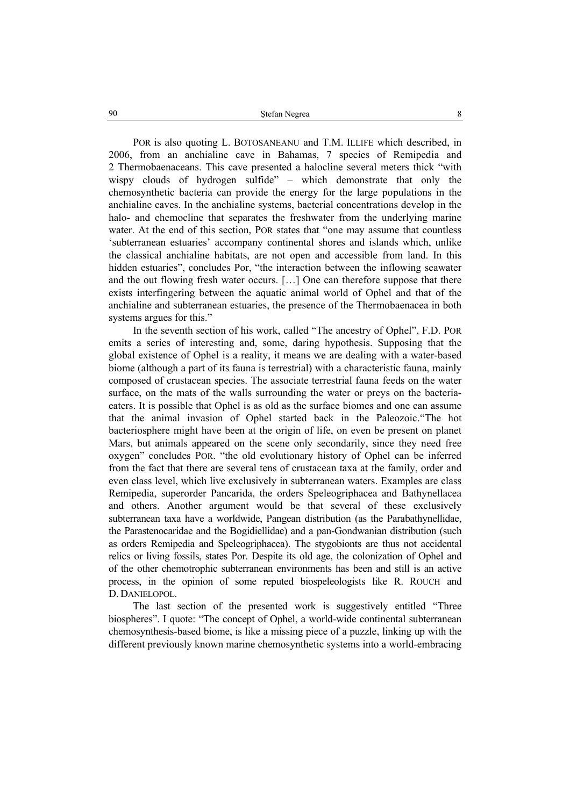POR is also quoting L. BOTOSANEANU and T.M. ILLIFE which described, in 2006, from an anchialine cave in Bahamas, 7 species of Remipedia and 2 Thermobaenaceans. This cave presented a halocline several meters thick "with wispy clouds of hydrogen sulfide" – which demonstrate that only the chemosynthetic bacteria can provide the energy for the large populations in the anchialine caves. In the anchialine systems, bacterial concentrations develop in the halo- and chemocline that separates the freshwater from the underlying marine water. At the end of this section, POR states that "one may assume that countless 'subterranean estuaries' accompany continental shores and islands which, unlike the classical anchialine habitats, are not open and accessible from land. In this hidden estuaries", concludes Por, "the interaction between the inflowing seawater and the out flowing fresh water occurs. […] One can therefore suppose that there exists interfingering between the aquatic animal world of Ophel and that of the anchialine and subterranean estuaries, the presence of the Thermobaenacea in both systems argues for this."

In the seventh section of his work, called "The ancestry of Ophel", F.D. POR emits a series of interesting and, some, daring hypothesis. Supposing that the global existence of Ophel is a reality, it means we are dealing with a water-based biome (although a part of its fauna is terrestrial) with a characteristic fauna, mainly composed of crustacean species. The associate terrestrial fauna feeds on the water surface, on the mats of the walls surrounding the water or preys on the bacteriaeaters. It is possible that Ophel is as old as the surface biomes and one can assume that the animal invasion of Ophel started back in the Paleozoic."The hot bacteriosphere might have been at the origin of life, on even be present on planet Mars, but animals appeared on the scene only secondarily, since they need free oxygen" concludes POR. "the old evolutionary history of Ophel can be inferred from the fact that there are several tens of crustacean taxa at the family, order and even class level, which live exclusively in subterranean waters. Examples are class Remipedia, superorder Pancarida, the orders Speleogriphacea and Bathynellacea and others. Another argument would be that several of these exclusively subterranean taxa have a worldwide, Pangean distribution (as the Parabathynellidae, the Parastenocaridae and the Bogidiellidae) and a pan-Gondwanian distribution (such as orders Remipedia and Speleogriphacea). The stygobionts are thus not accidental relics or living fossils, states Por. Despite its old age, the colonization of Ophel and of the other chemotrophic subterranean environments has been and still is an active process, in the opinion of some reputed biospeleologists like R. ROUCH and D. DANIELOPOL.

The last section of the presented work is suggestively entitled "Three biospheres". I quote: "The concept of Ophel, a world-wide continental subterranean chemosynthesis-based biome, is like a missing piece of a puzzle, linking up with the different previously known marine chemosynthetic systems into a world-embracing